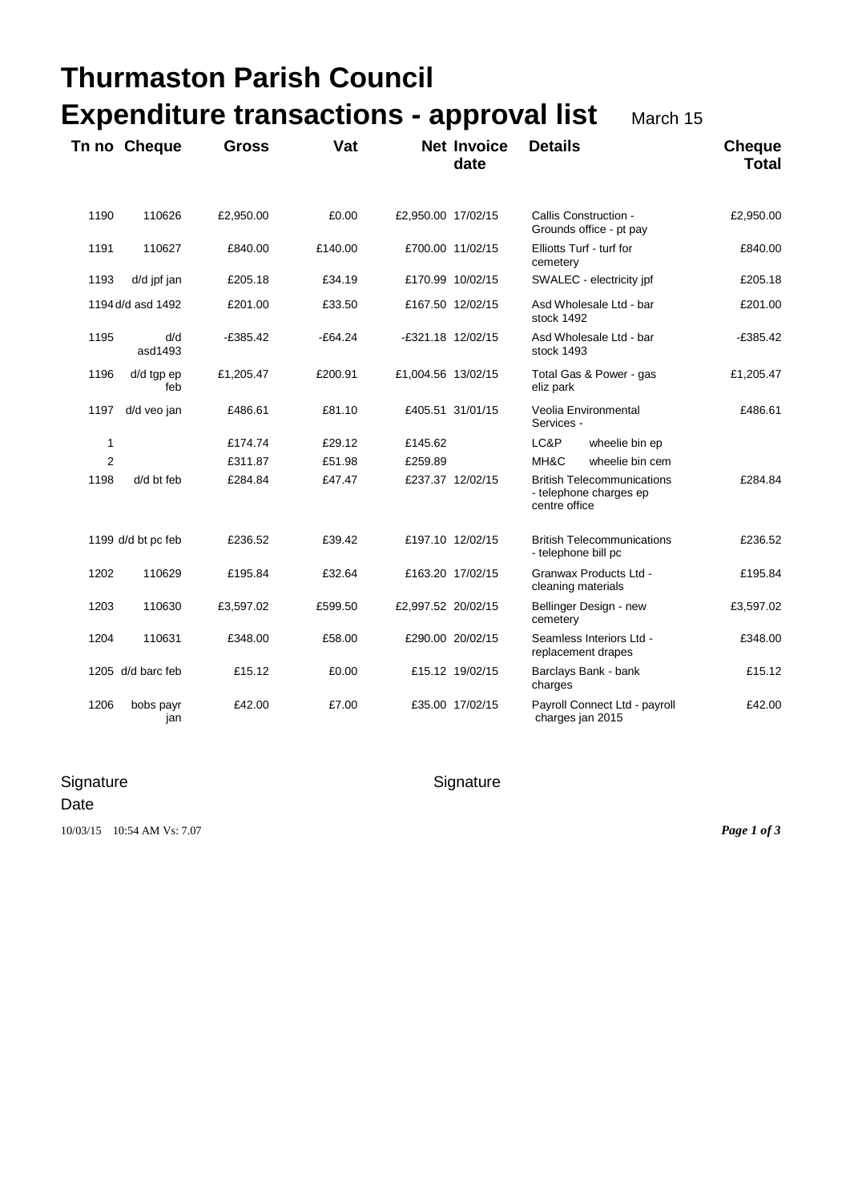|                | <b>Thurmaston Parish Council</b><br><b>Expenditure transactions - approval list</b><br>March 15 |              |           |                    |                            |                                                                              |                               |  |  |
|----------------|-------------------------------------------------------------------------------------------------|--------------|-----------|--------------------|----------------------------|------------------------------------------------------------------------------|-------------------------------|--|--|
|                |                                                                                                 |              |           |                    |                            |                                                                              |                               |  |  |
|                | Tn no Cheque                                                                                    | <b>Gross</b> | Vat       |                    | <b>Net Invoice</b><br>date | <b>Details</b>                                                               | <b>Cheque</b><br><b>Total</b> |  |  |
| 1190           | 110626                                                                                          | £2,950.00    | £0.00     | £2,950.00 17/02/15 |                            | Callis Construction -<br>Grounds office - pt pay                             | £2,950.00                     |  |  |
| 1191           | 110627                                                                                          | £840.00      | £140.00   |                    | £700.00 11/02/15           | Elliotts Turf - turf for<br>cemetery                                         | £840.00                       |  |  |
| 1193           | d/d jpf jan                                                                                     | £205.18      | £34.19    |                    | £170.99 10/02/15           | SWALEC - electricity jpf                                                     | £205.18                       |  |  |
|                | 1194 d/d asd 1492                                                                               | £201.00      | £33.50    |                    | £167.50 12/02/15           | Asd Wholesale Ltd - bar<br>stock 1492                                        | £201.00                       |  |  |
| 1195           | d/d<br>asd1493                                                                                  | $-£385.42$   | $-E64.24$ | -£321.18 12/02/15  |                            | Asd Wholesale Ltd - bar<br>stock 1493                                        | $-£385.42$                    |  |  |
| 1196           | d/d tgp ep<br>feb                                                                               | £1,205.47    | £200.91   | £1,004.56 13/02/15 |                            | Total Gas & Power - gas<br>eliz park                                         | £1,205.47                     |  |  |
| 1197           | d/d veo jan                                                                                     | £486.61      | £81.10    |                    | £405.51 31/01/15           | Veolia Environmental<br>Services -                                           | £486.61                       |  |  |
| $\mathbf{1}$   |                                                                                                 | £174.74      | £29.12    | £145.62            |                            | LC&P<br>wheelie bin ep                                                       |                               |  |  |
| $\overline{2}$ |                                                                                                 | £311.87      | £51.98    | £259.89            |                            | MH&C<br>wheelie bin cem                                                      |                               |  |  |
| 1198           | d/d bt feb                                                                                      | £284.84      | £47.47    |                    | £237.37 12/02/15           | <b>British Telecommunications</b><br>- telephone charges ep<br>centre office | £284.84                       |  |  |
|                | 1199 d/d bt pc feb                                                                              | £236.52      | £39.42    |                    | £197.10 12/02/15           | <b>British Telecommunications</b><br>- telephone bill pc                     | £236.52                       |  |  |
| 1202           | 110629                                                                                          | £195.84      | £32.64    |                    | £163.20 17/02/15           | Granwax Products Ltd -<br>cleaning materials                                 | £195.84                       |  |  |
| 1203           | 110630                                                                                          | £3,597.02    | £599.50   | £2,997.52 20/02/15 |                            | Bellinger Design - new<br>cemetery                                           | £3,597.02                     |  |  |
| 1204           | 110631                                                                                          | £348.00      | £58.00    |                    | £290.00 20/02/15           | Seamless Interiors Ltd -<br>replacement drapes                               | £348.00                       |  |  |
|                | 1205 d/d barc feb                                                                               | £15.12       | £0.00     |                    | £15.12 19/02/15            | Barclays Bank - bank<br>charges                                              | £15.12                        |  |  |
| 1206           | bobs payr<br>jan                                                                                | £42.00       | £7.00     |                    | £35.00 17/02/15            | Payroll Connect Ltd - payroll<br>charges jan 2015                            | £42.00                        |  |  |

## Signature Signature Signature

## Date

10/03/15 10:54 AM Vs: 7.07 *Page 1 of 3*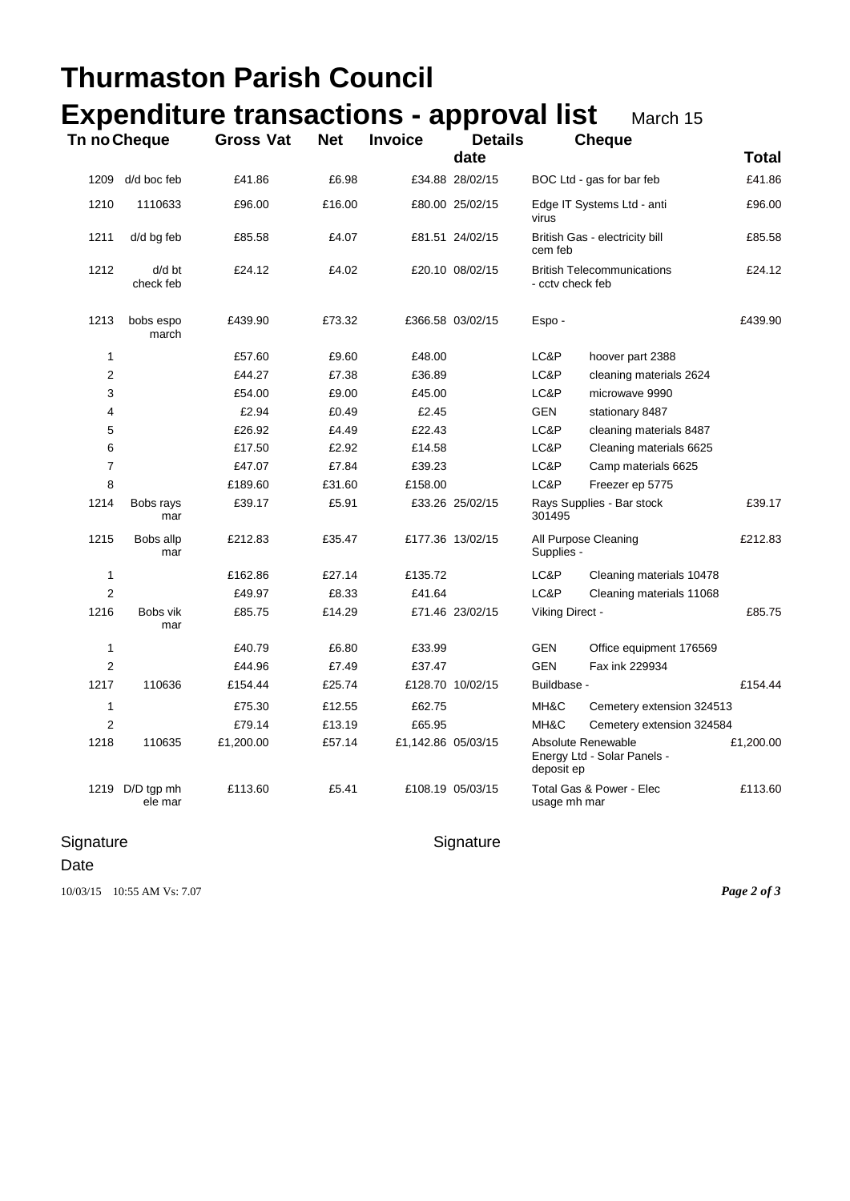|                |                            | <b>Thurmaston Parish Council</b>                |            |                    |                  |                                    |                                                       |           |  |
|----------------|----------------------------|-------------------------------------------------|------------|--------------------|------------------|------------------------------------|-------------------------------------------------------|-----------|--|
|                |                            | <b>Expenditure transactions - approval list</b> |            |                    |                  |                                    | March 15                                              |           |  |
|                | Tn no Cheque               | <b>Gross Vat</b>                                | <b>Net</b> | <b>Invoice</b>     | <b>Details</b>   |                                    | <b>Cheque</b>                                         |           |  |
|                |                            |                                                 |            |                    | date             |                                    |                                                       | Total     |  |
| 1209           | d/d boc feb                | £41.86                                          | £6.98      |                    | £34.88 28/02/15  |                                    | BOC Ltd - gas for bar feb                             | £41.86    |  |
| 1210           | 1110633                    | £96.00                                          | £16.00     |                    | £80.00 25/02/15  | virus                              | Edge IT Systems Ltd - anti                            | £96.00    |  |
| 1211           | d/d bg feb                 | £85.58                                          | £4.07      |                    | £81.51 24/02/15  | cem feb                            | British Gas - electricity bill                        |           |  |
| 1212           | d/d bt<br>check feb        | £24.12                                          | £4.02      |                    | £20.10 08/02/15  |                                    | <b>British Telecommunications</b><br>- cctv check feb |           |  |
| 1213           | bobs espo<br>march         | £439.90                                         | £73.32     |                    | £366.58 03/02/15 | Espo-                              |                                                       | £439.90   |  |
| 1              |                            | £57.60                                          | £9.60      | £48.00             |                  | LC&P                               | hoover part 2388                                      |           |  |
| $\overline{2}$ |                            | £44.27                                          | £7.38      | £36.89             |                  | LC&P                               | cleaning materials 2624                               |           |  |
| 3              |                            | £54.00                                          | £9.00      | £45.00             |                  | LC&P                               | microwave 9990                                        |           |  |
| 4              |                            | £2.94                                           | £0.49      | £2.45              |                  | <b>GEN</b>                         | stationary 8487                                       |           |  |
| 5              |                            | £26.92                                          | £4.49      | £22.43             |                  | LC&P                               | cleaning materials 8487                               |           |  |
| 6              |                            | £17.50                                          | £2.92      | £14.58             |                  | LC&P                               | Cleaning materials 6625                               |           |  |
| $\overline{7}$ |                            | £47.07                                          | £7.84      | £39.23             |                  | LC&P                               | Camp materials 6625                                   |           |  |
| 8              |                            | £189.60                                         | £31.60     | £158.00            |                  | LC&P                               | Freezer ep 5775                                       |           |  |
| 1214           | Bobs rays<br>mar           | £39.17                                          | £5.91      |                    | £33.26 25/02/15  | 301495                             | Rays Supplies - Bar stock                             |           |  |
| 1215           | Bobs allp<br>mar           | £212.83                                         | £35.47     |                    | £177.36 13/02/15 | All Purpose Cleaning<br>Supplies - |                                                       | £212.83   |  |
| 1              |                            | £162.86                                         | £27.14     | £135.72            |                  | LC&P                               | Cleaning materials 10478                              |           |  |
| $\overline{2}$ |                            | £49.97                                          | £8.33      | £41.64             |                  | LC&P                               | Cleaning materials 11068                              |           |  |
| 1216           | Bobs vik<br>mar            | £85.75                                          | £14.29     |                    | £71.46 23/02/15  | Viking Direct -                    |                                                       | £85.75    |  |
| 1              |                            | £40.79                                          | £6.80      | £33.99             |                  | <b>GEN</b>                         | Office equipment 176569                               |           |  |
| $\overline{2}$ |                            | £44.96                                          | £7.49      | £37.47             |                  | <b>GEN</b>                         | Fax ink 229934                                        |           |  |
| 1217           | 110636                     | £154.44                                         | £25.74     |                    | £128.70 10/02/15 | Buildbase -                        |                                                       | £154.44   |  |
| 1              |                            | £75.30                                          | £12.55     | £62.75             |                  | MH&C                               | Cemetery extension 324513                             |           |  |
| $\overline{2}$ |                            | £79.14                                          | £13.19     | £65.95             |                  | MH&C                               | Cemetery extension 324584                             |           |  |
| 1218           | 110635                     | £1,200.00                                       | £57.14     | £1,142.86 05/03/15 |                  | deposit ep                         | Absolute Renewable<br>Energy Ltd - Solar Panels -     | £1,200.00 |  |
|                | 1219 D/D tgp mh<br>ele mar | £113.60                                         | £5.41      |                    | £108.19 05/03/15 | usage mh mar                       | Total Gas & Power - Elec                              | £113.60   |  |

## Signature **Signature** Signature

## Date

10/03/15 10:55 AM Vs: 7.07 *Page 2 of 3*